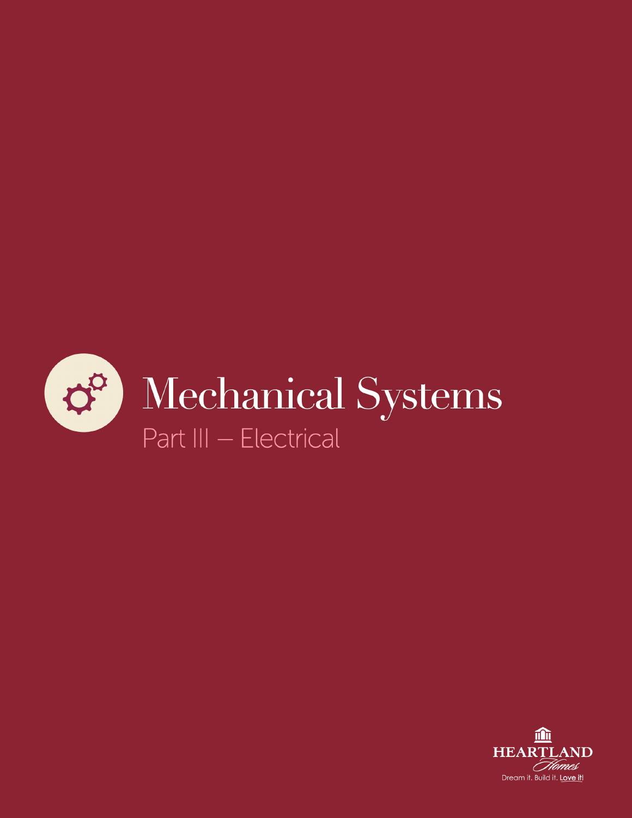

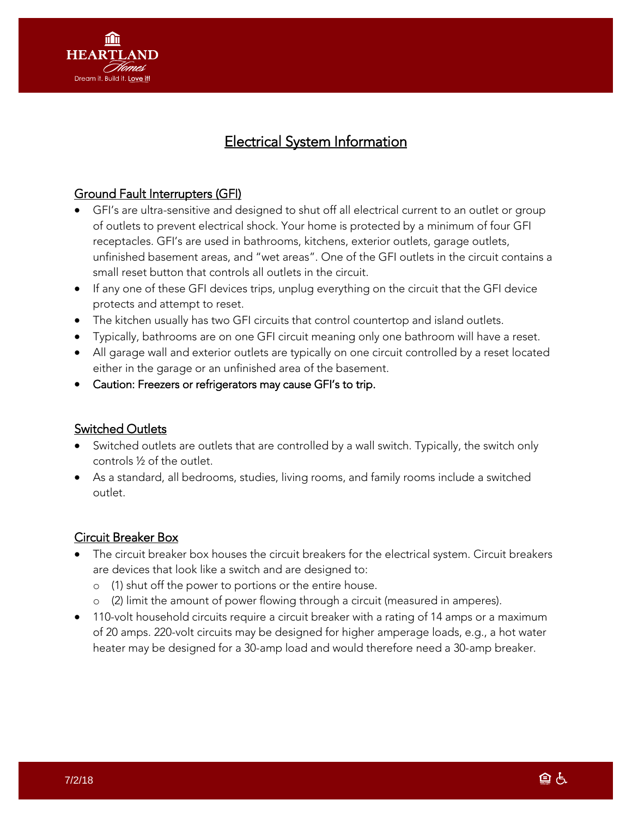

# Electrical System Information

# Ground Fault Interrupters (GFI)

- GFI's are ultra-sensitive and designed to shut off all electrical current to an outlet or group of outlets to prevent electrical shock. Your home is protected by a minimum of four GFI receptacles. GFI's are used in bathrooms, kitchens, exterior outlets, garage outlets, unfinished basement areas, and "wet areas". One of the GFI outlets in the circuit contains a small reset button that controls all outlets in the circuit.
- If any one of these GFI devices trips, unplug everything on the circuit that the GFI device protects and attempt to reset.
- The kitchen usually has two GFI circuits that control countertop and island outlets.
- Typically, bathrooms are on one GFI circuit meaning only one bathroom will have a reset.
- All garage wall and exterior outlets are typically on one circuit controlled by a reset located either in the garage or an unfinished area of the basement.
- Caution: Freezers or refrigerators may cause GFI's to trip.

#### Switched Outlets

- Switched outlets are outlets that are controlled by a wall switch. Typically, the switch only controls ½ of the outlet.
- As a standard, all bedrooms, studies, living rooms, and family rooms include a switched outlet.

#### Circuit Breaker Box

- The circuit breaker box houses the circuit breakers for the electrical system. Circuit breakers are devices that look like a switch and are designed to:
	- o (1) shut off the power to portions or the entire house.
	- o (2) limit the amount of power flowing through a circuit (measured in amperes).
- 110-volt household circuits require a circuit breaker with a rating of 14 amps or a maximum of 20 amps. 220-volt circuits may be designed for higher amperage loads, e.g., a hot water heater may be designed for a 30-amp load and would therefore need a 30-amp breaker.

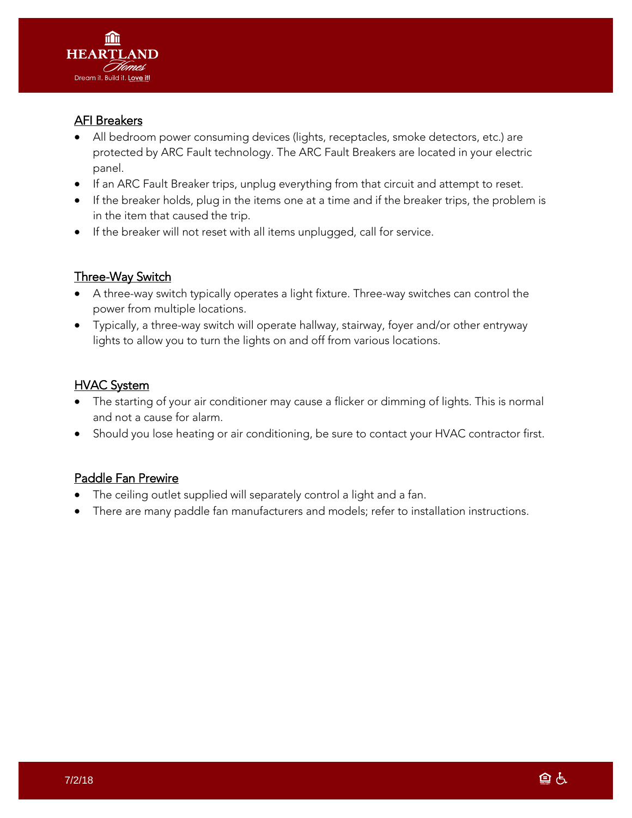

## AFI Breakers

- All bedroom power consuming devices (lights, receptacles, smoke detectors, etc.) are protected by ARC Fault technology. The ARC Fault Breakers are located in your electric panel.
- If an ARC Fault Breaker trips, unplug everything from that circuit and attempt to reset.
- If the breaker holds, plug in the items one at a time and if the breaker trips, the problem is in the item that caused the trip.
- If the breaker will not reset with all items unplugged, call for service.

# Three-Way Switch

- A three-way switch typically operates a light fixture. Three-way switches can control the power from multiple locations.
- Typically, a three-way switch will operate hallway, stairway, foyer and/or other entryway lights to allow you to turn the lights on and off from various locations.

## **HVAC System**

- The starting of your air conditioner may cause a flicker or dimming of lights. This is normal and not a cause for alarm.
- Should you lose heating or air conditioning, be sure to contact your HVAC contractor first.

#### Paddle Fan Prewire

- The ceiling outlet supplied will separately control a light and a fan.
- There are many paddle fan manufacturers and models; refer to installation instructions.